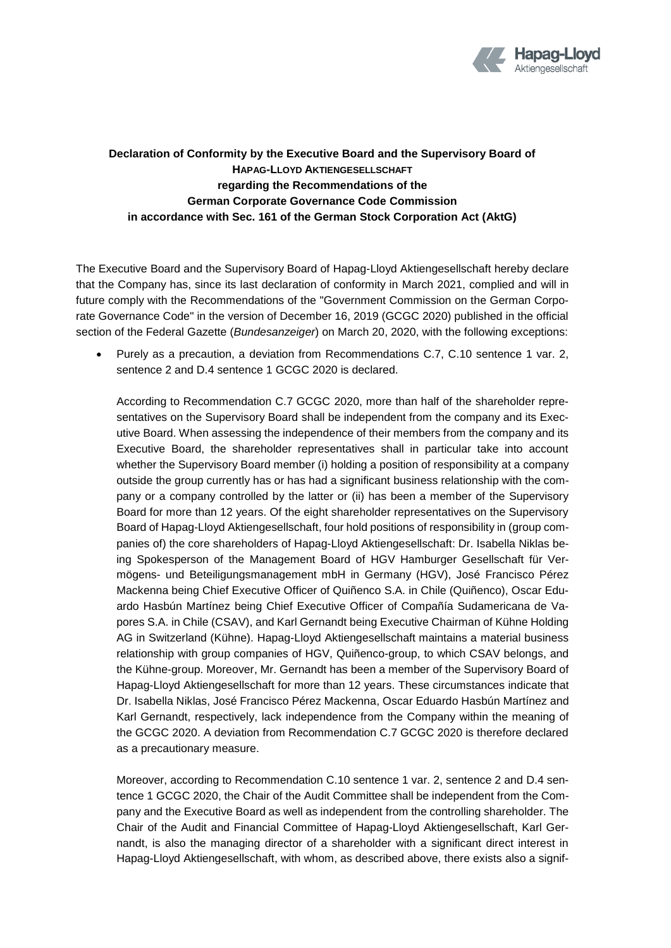

## **Declaration of Conformity by the Executive Board and the Supervisory Board of HAPAG-LLOYD AKTIENGESELLSCHAFT regarding the Recommendations of the German Corporate Governance Code Commission in accordance with Sec. 161 of the German Stock Corporation Act (AktG)**

The Executive Board and the Supervisory Board of Hapag-Lloyd Aktiengesellschaft hereby declare that the Company has, since its last declaration of conformity in March 2021, complied and will in future comply with the Recommendations of the "Government Commission on the German Corporate Governance Code" in the version of December 16, 2019 (GCGC 2020) published in the official section of the Federal Gazette (*Bundesanzeiger*) on March 20, 2020, with the following exceptions:

 Purely as a precaution, a deviation from Recommendations C.7, C.10 sentence 1 var. 2, sentence 2 and D.4 sentence 1 GCGC 2020 is declared.

According to Recommendation C.7 GCGC 2020, more than half of the shareholder representatives on the Supervisory Board shall be independent from the company and its Executive Board. When assessing the independence of their members from the company and its Executive Board, the shareholder representatives shall in particular take into account whether the Supervisory Board member (i) holding a position of responsibility at a company outside the group currently has or has had a significant business relationship with the company or a company controlled by the latter or (ii) has been a member of the Supervisory Board for more than 12 years. Of the eight shareholder representatives on the Supervisory Board of Hapag-Lloyd Aktiengesellschaft, four hold positions of responsibility in (group companies of) the core shareholders of Hapag-Lloyd Aktiengesellschaft: Dr. Isabella Niklas being Spokesperson of the Management Board of HGV Hamburger Gesellschaft für Vermögens- und Beteiligungsmanagement mbH in Germany (HGV), José Francisco Pérez Mackenna being Chief Executive Officer of Quiñenco S.A. in Chile (Quiñenco), Oscar Eduardo Hasbún Martínez being Chief Executive Officer of Compañía Sudamericana de Vapores S.A. in Chile (CSAV), and Karl Gernandt being Executive Chairman of Kühne Holding AG in Switzerland (Kühne). Hapag-Lloyd Aktiengesellschaft maintains a material business relationship with group companies of HGV, Quiñenco-group, to which CSAV belongs, and the Kühne-group. Moreover, Mr. Gernandt has been a member of the Supervisory Board of Hapag-Lloyd Aktiengesellschaft for more than 12 years. These circumstances indicate that Dr. Isabella Niklas, José Francisco Pérez Mackenna, Oscar Eduardo Hasbún Martínez and Karl Gernandt, respectively, lack independence from the Company within the meaning of the GCGC 2020. A deviation from Recommendation C.7 GCGC 2020 is therefore declared as a precautionary measure.

Moreover, according to Recommendation C.10 sentence 1 var. 2, sentence 2 and D.4 sentence 1 GCGC 2020, the Chair of the Audit Committee shall be independent from the Company and the Executive Board as well as independent from the controlling shareholder. The Chair of the Audit and Financial Committee of Hapag-Lloyd Aktiengesellschaft, Karl Gernandt, is also the managing director of a shareholder with a significant direct interest in Hapag-Lloyd Aktiengesellschaft, with whom, as described above, there exists also a signif-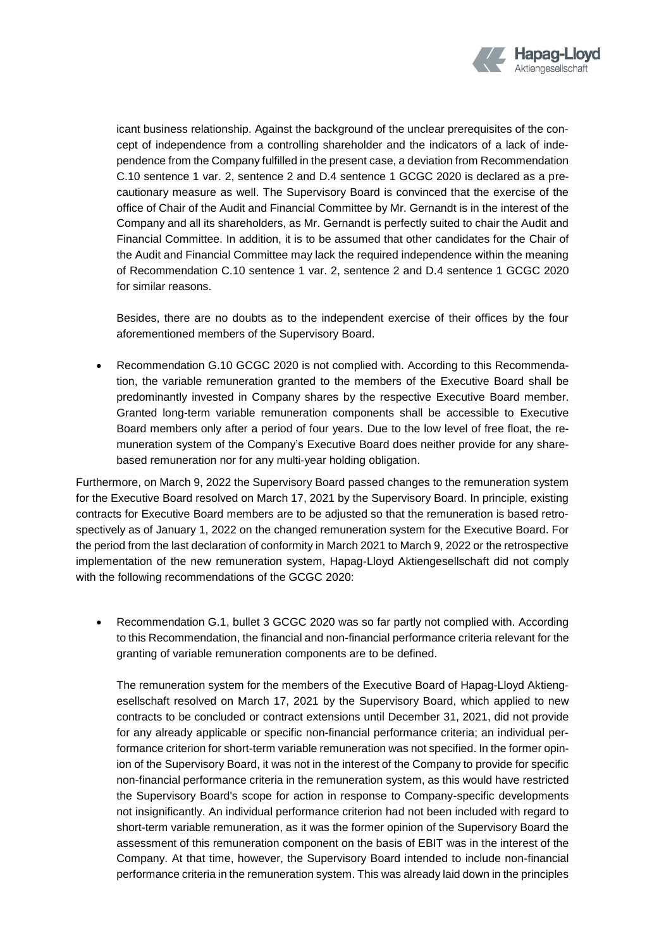

icant business relationship. Against the background of the unclear prerequisites of the concept of independence from a controlling shareholder and the indicators of a lack of independence from the Company fulfilled in the present case, a deviation from Recommendation C.10 sentence 1 var. 2, sentence 2 and D.4 sentence 1 GCGC 2020 is declared as a precautionary measure as well. The Supervisory Board is convinced that the exercise of the office of Chair of the Audit and Financial Committee by Mr. Gernandt is in the interest of the Company and all its shareholders, as Mr. Gernandt is perfectly suited to chair the Audit and Financial Committee. In addition, it is to be assumed that other candidates for the Chair of the Audit and Financial Committee may lack the required independence within the meaning of Recommendation C.10 sentence 1 var. 2, sentence 2 and D.4 sentence 1 GCGC 2020 for similar reasons.

Besides, there are no doubts as to the independent exercise of their offices by the four aforementioned members of the Supervisory Board.

 Recommendation G.10 GCGC 2020 is not complied with. According to this Recommendation, the variable remuneration granted to the members of the Executive Board shall be predominantly invested in Company shares by the respective Executive Board member. Granted long-term variable remuneration components shall be accessible to Executive Board members only after a period of four years. Due to the low level of free float, the remuneration system of the Company's Executive Board does neither provide for any sharebased remuneration nor for any multi-year holding obligation.

Furthermore, on March 9, 2022 the Supervisory Board passed changes to the remuneration system for the Executive Board resolved on March 17, 2021 by the Supervisory Board. In principle, existing contracts for Executive Board members are to be adjusted so that the remuneration is based retrospectively as of January 1, 2022 on the changed remuneration system for the Executive Board. For the period from the last declaration of conformity in March 2021 to March 9, 2022 or the retrospective implementation of the new remuneration system, Hapag-Lloyd Aktiengesellschaft did not comply with the following recommendations of the GCGC 2020:

 Recommendation G.1, bullet 3 GCGC 2020 was so far partly not complied with. According to this Recommendation, the financial and non-financial performance criteria relevant for the granting of variable remuneration components are to be defined.

The remuneration system for the members of the Executive Board of Hapag-Lloyd Aktiengesellschaft resolved on March 17, 2021 by the Supervisory Board, which applied to new contracts to be concluded or contract extensions until December 31, 2021, did not provide for any already applicable or specific non-financial performance criteria; an individual performance criterion for short-term variable remuneration was not specified. In the former opinion of the Supervisory Board, it was not in the interest of the Company to provide for specific non-financial performance criteria in the remuneration system, as this would have restricted the Supervisory Board's scope for action in response to Company-specific developments not insignificantly. An individual performance criterion had not been included with regard to short-term variable remuneration, as it was the former opinion of the Supervisory Board the assessment of this remuneration component on the basis of EBIT was in the interest of the Company. At that time, however, the Supervisory Board intended to include non-financial performance criteria in the remuneration system. This was already laid down in the principles